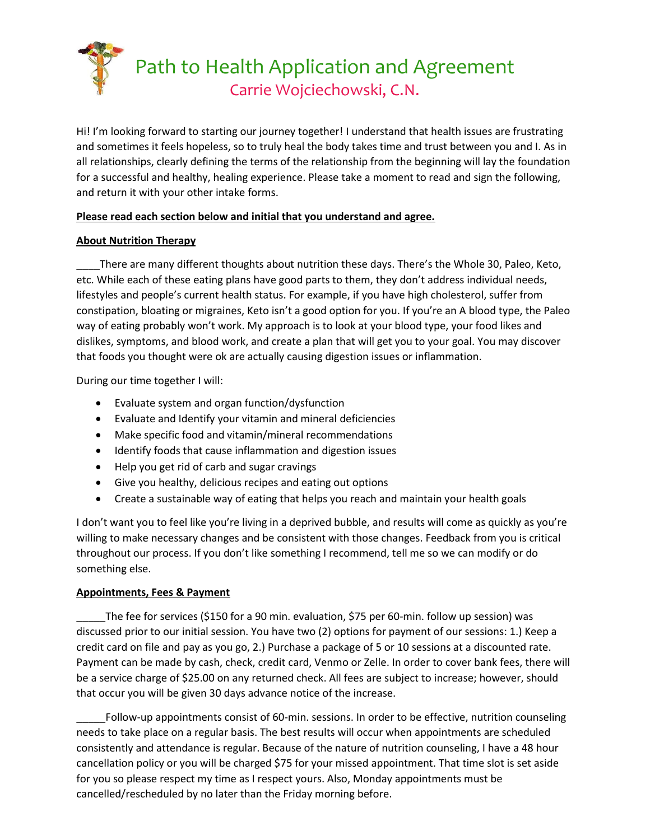

Hi! I'm looking forward to starting our journey together! I understand that health issues are frustrating and sometimes it feels hopeless, so to truly heal the body takes time and trust between you and I. As in all relationships, clearly defining the terms of the relationship from the beginning will lay the foundation for a successful and healthy, healing experience. Please take a moment to read and sign the following, and return it with your other intake forms.

# **Please read each section below and initial that you understand and agree.**

# **About Nutrition Therapy**

There are many different thoughts about nutrition these days. There's the Whole 30, Paleo, Keto, etc. While each of these eating plans have good parts to them, they don't address individual needs, lifestyles and people's current health status. For example, if you have high cholesterol, suffer from constipation, bloating or migraines, Keto isn't a good option for you. If you're an A blood type, the Paleo way of eating probably won't work. My approach is to look at your blood type, your food likes and dislikes, symptoms, and blood work, and create a plan that will get you to your goal. You may discover that foods you thought were ok are actually causing digestion issues or inflammation.

During our time together I will:

- Evaluate system and organ function/dysfunction
- Evaluate and Identify your vitamin and mineral deficiencies
- Make specific food and vitamin/mineral recommendations
- Identify foods that cause inflammation and digestion issues
- Help you get rid of carb and sugar cravings
- Give you healthy, delicious recipes and eating out options
- Create a sustainable way of eating that helps you reach and maintain your health goals

I don't want you to feel like you're living in a deprived bubble, and results will come as quickly as you're willing to make necessary changes and be consistent with those changes. Feedback from you is critical throughout our process. If you don't like something I recommend, tell me so we can modify or do something else.

# **Appointments, Fees & Payment**

\_\_\_\_\_The fee for services (\$150 for a 90 min. evaluation, \$75 per 60-min. follow up session) was discussed prior to our initial session. You have two (2) options for payment of our sessions: 1.) Keep a credit card on file and pay as you go, 2.) Purchase a package of 5 or 10 sessions at a discounted rate. Payment can be made by cash, check, credit card, Venmo or Zelle. In order to cover bank fees, there will be a service charge of \$25.00 on any returned check. All fees are subject to increase; however, should that occur you will be given 30 days advance notice of the increase.

\_\_\_\_\_Follow-up appointments consist of 60-min. sessions. In order to be effective, nutrition counseling needs to take place on a regular basis. The best results will occur when appointments are scheduled consistently and attendance is regular. Because of the nature of nutrition counseling, I have a 48 hour cancellation policy or you will be charged \$75 for your missed appointment. That time slot is set aside for you so please respect my time as I respect yours. Also, Monday appointments must be cancelled/rescheduled by no later than the Friday morning before.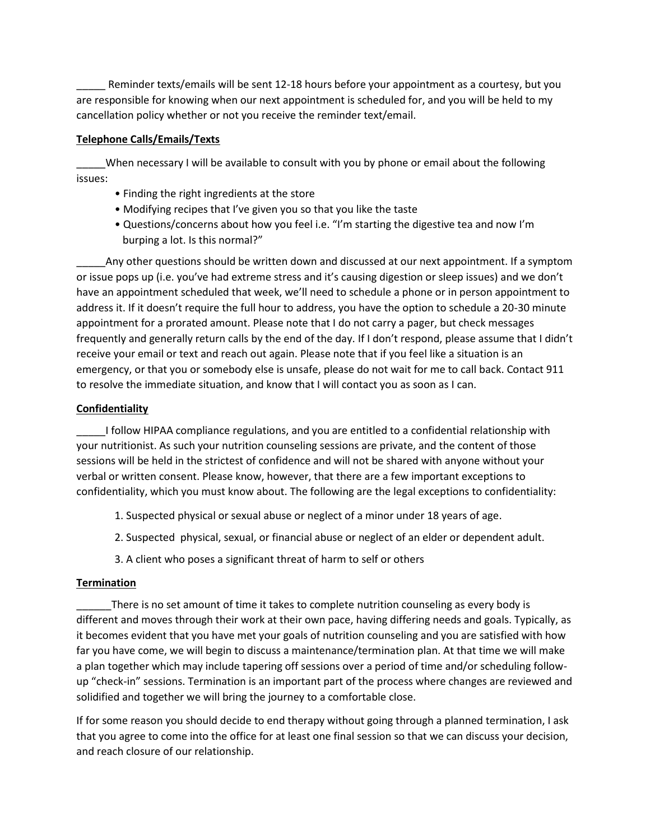Reminder texts/emails will be sent 12-18 hours before your appointment as a courtesy, but you are responsible for knowing when our next appointment is scheduled for, and you will be held to my cancellation policy whether or not you receive the reminder text/email.

#### **Telephone Calls/Emails/Texts**

When necessary I will be available to consult with you by phone or email about the following issues:

- Finding the right ingredients at the store
- Modifying recipes that I've given you so that you like the taste
- Questions/concerns about how you feel i.e. "I'm starting the digestive tea and now I'm burping a lot. Is this normal?"

Any other questions should be written down and discussed at our next appointment. If a symptom or issue pops up (i.e. you've had extreme stress and it's causing digestion or sleep issues) and we don't have an appointment scheduled that week, we'll need to schedule a phone or in person appointment to address it. If it doesn't require the full hour to address, you have the option to schedule a 20-30 minute appointment for a prorated amount. Please note that I do not carry a pager, but check messages frequently and generally return calls by the end of the day. If I don't respond, please assume that I didn't receive your email or text and reach out again. Please note that if you feel like a situation is an emergency, or that you or somebody else is unsafe, please do not wait for me to call back. Contact 911 to resolve the immediate situation, and know that I will contact you as soon as I can.

### **Confidentiality**

I follow HIPAA compliance regulations, and you are entitled to a confidential relationship with your nutritionist. As such your nutrition counseling sessions are private, and the content of those sessions will be held in the strictest of confidence and will not be shared with anyone without your verbal or written consent. Please know, however, that there are a few important exceptions to confidentiality, which you must know about. The following are the legal exceptions to confidentiality:

- 1. Suspected physical or sexual abuse or neglect of a minor under 18 years of age.
- 2. Suspected physical, sexual, or financial abuse or neglect of an elder or dependent adult.
- 3. A client who poses a significant threat of harm to self or others

### **Termination**

There is no set amount of time it takes to complete nutrition counseling as every body is different and moves through their work at their own pace, having differing needs and goals. Typically, as it becomes evident that you have met your goals of nutrition counseling and you are satisfied with how far you have come, we will begin to discuss a maintenance/termination plan. At that time we will make a plan together which may include tapering off sessions over a period of time and/or scheduling followup "check-in" sessions. Termination is an important part of the process where changes are reviewed and solidified and together we will bring the journey to a comfortable close.

If for some reason you should decide to end therapy without going through a planned termination, I ask that you agree to come into the office for at least one final session so that we can discuss your decision, and reach closure of our relationship.